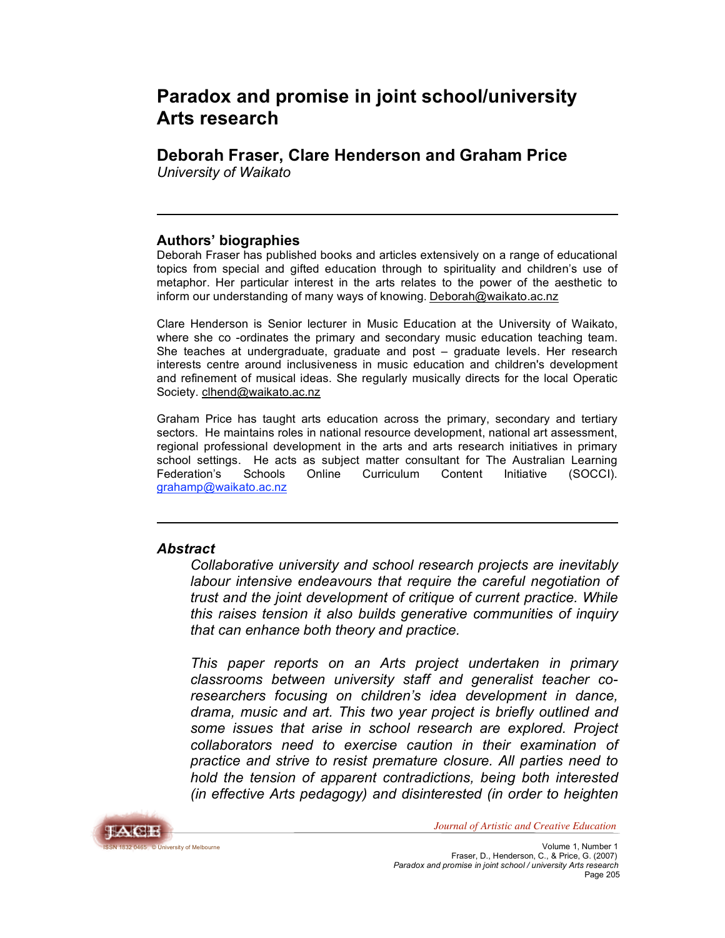# **Paradox and promise in joint school/university Arts research**

**Deborah Fraser, Clare Henderson and Graham Price** *University of Waikato*

#### **Authors' biographies**

Deborah Fraser has published books and articles extensively on a range of educational topics from special and gifted education through to spirituality and children's use of metaphor. Her particular interest in the arts relates to the power of the aesthetic to inform our understanding of many ways of knowing*.* Deborah@waikato.ac.nz

Clare Henderson is Senior lecturer in Music Education at the University of Waikato, where she co -ordinates the primary and secondary music education teaching team. She teaches at undergraduate, graduate and post – graduate levels. Her research interests centre around inclusiveness in music education and children's development and refinement of musical ideas. She regularly musically directs for the local Operatic Society. clhend@waikato.ac.nz

Graham Price has taught arts education across the primary, secondary and tertiary sectors. He maintains roles in national resource development, national art assessment, regional professional development in the arts and arts research initiatives in primary school settings. He acts as subject matter consultant for The Australian Learning Federation's Schools Online Curriculum Content Initiative (SOCCI). grahamp@waikato.ac.nz

### *Abstract*

*Collaborative university and school research projects are inevitably labour intensive endeavours that require the careful negotiation of trust and the joint development of critique of current practice. While this raises tension it also builds generative communities of inquiry that can enhance both theory and practice.*

*This paper reports on an Arts project undertaken in primary classrooms between university staff and generalist teacher coresearchers focusing on children's idea development in dance, drama, music and art. This two year project is briefly outlined and some issues that arise in school research are explored. Project collaborators need to exercise caution in their examination of practice and strive to resist premature closure. All parties need to hold the tension of apparent contradictions, being both interested (in effective Arts pedagogy) and disinterested (in order to heighten*

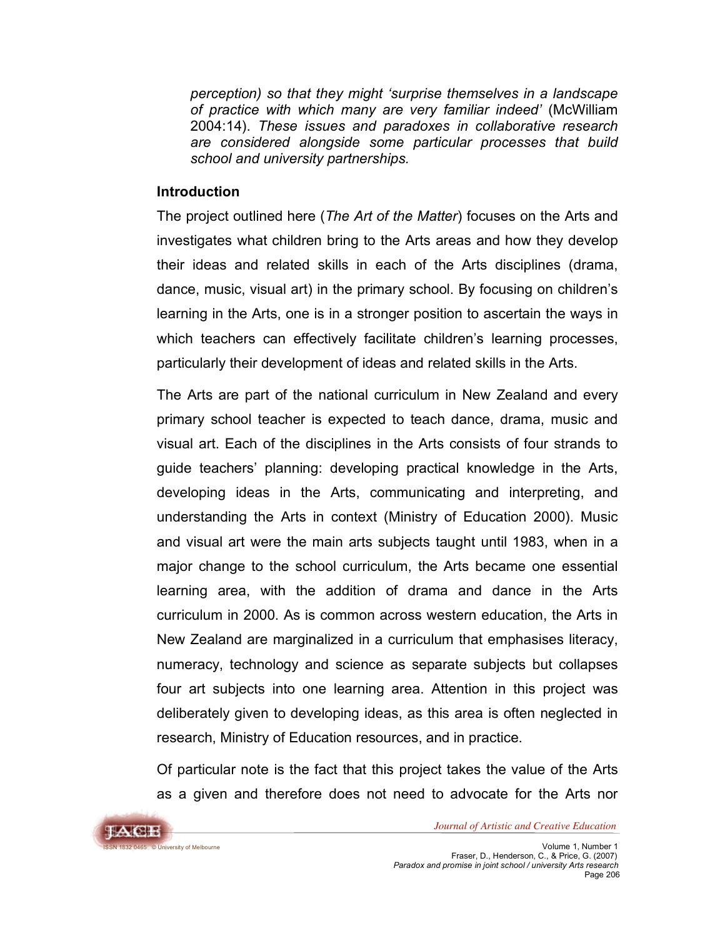*perception) so that they might 'surprise themselves in a landscape of practice with which many are very familiar indeed'* (McWilliam 2004:14). *These issues and paradoxes in collaborative research are considered alongside some particular processes that build school and university partnerships.*

#### **Introduction**

The project outlined here (*The Art of the Matter*) focuses on the Arts and investigates what children bring to the Arts areas and how they develop their ideas and related skills in each of the Arts disciplines (drama, dance, music, visual art) in the primary school. By focusing on children's learning in the Arts, one is in a stronger position to ascertain the ways in which teachers can effectively facilitate children's learning processes, particularly their development of ideas and related skills in the Arts.

The Arts are part of the national curriculum in New Zealand and every primary school teacher is expected to teach dance, drama, music and visual art. Each of the disciplines in the Arts consists of four strands to guide teachers' planning: developing practical knowledge in the Arts, developing ideas in the Arts, communicating and interpreting, and understanding the Arts in context (Ministry of Education 2000). Music and visual art were the main arts subjects taught until 1983, when in a major change to the school curriculum, the Arts became one essential learning area, with the addition of drama and dance in the Arts curriculum in 2000. As is common across western education, the Arts in New Zealand are marginalized in a curriculum that emphasises literacy, numeracy, technology and science as separate subjects but collapses four art subjects into one learning area. Attention in this project was deliberately given to developing ideas, as this area is often neglected in research, Ministry of Education resources, and in practice.

Of particular note is the fact that this project takes the value of the Arts as a given and therefore does not need to advocate for the Arts nor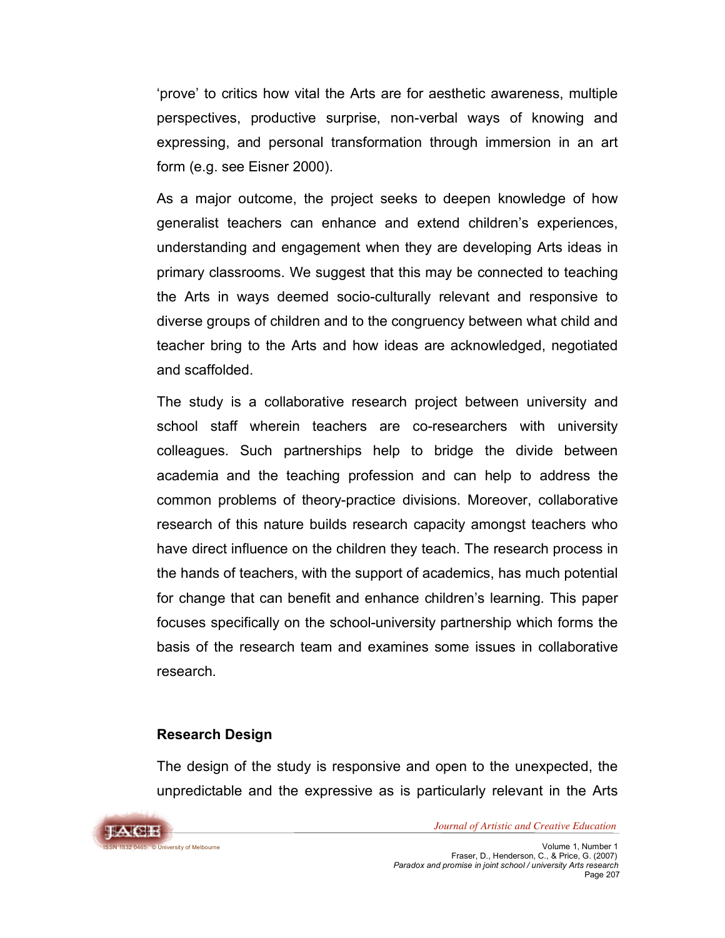'prove' to critics how vital the Arts are for aesthetic awareness, multiple perspectives, productive surprise, non-verbal ways of knowing and expressing, and personal transformation through immersion in an art form (e.g. see Eisner 2000).

As a major outcome, the project seeks to deepen knowledge of how generalist teachers can enhance and extend children's experiences, understanding and engagement when they are developing Arts ideas in primary classrooms. We suggest that this may be connected to teaching the Arts in ways deemed socio-culturally relevant and responsive to diverse groups of children and to the congruency between what child and teacher bring to the Arts and how ideas are acknowledged, negotiated and scaffolded.

The study is a collaborative research project between university and school staff wherein teachers are co-researchers with university colleagues. Such partnerships help to bridge the divide between academia and the teaching profession and can help to address the common problems of theory-practice divisions. Moreover, collaborative research of this nature builds research capacity amongst teachers who have direct influence on the children they teach. The research process in the hands of teachers, with the support of academics, has much potential for change that can benefit and enhance children's learning. This paper focuses specifically on the school-university partnership which forms the basis of the research team and examines some issues in collaborative research.

### **Research Design**

The design of the study is responsive and open to the unexpected, the unpredictable and the expressive as is particularly relevant in the Arts

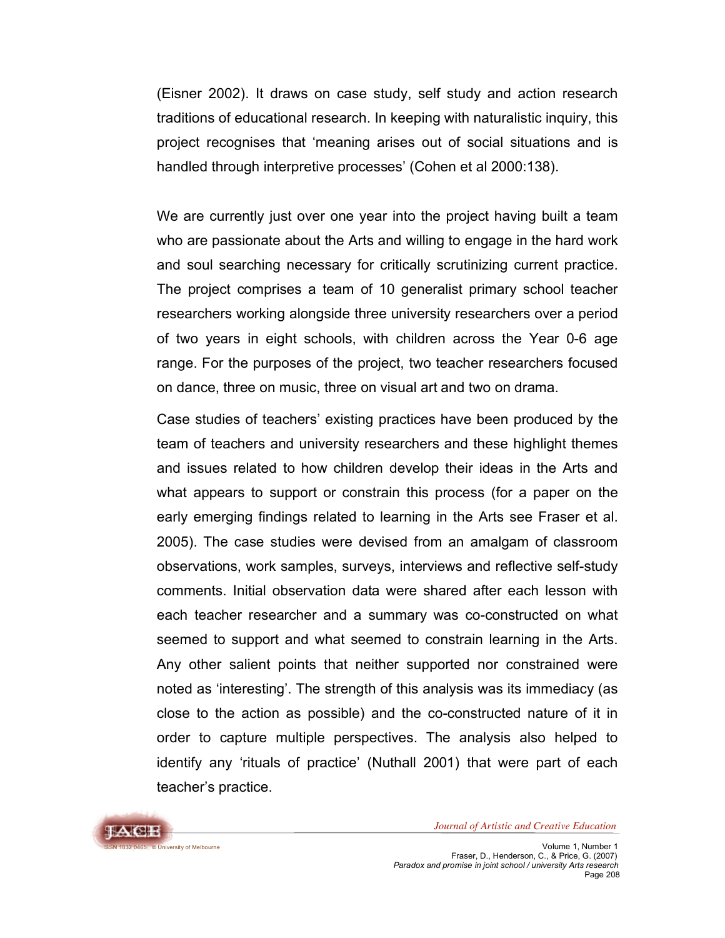(Eisner 2002). It draws on case study, self study and action research traditions of educational research. In keeping with naturalistic inquiry, this project recognises that 'meaning arises out of social situations and is handled through interpretive processes' (Cohen et al 2000:138).

We are currently just over one year into the project having built a team who are passionate about the Arts and willing to engage in the hard work and soul searching necessary for critically scrutinizing current practice. The project comprises a team of 10 generalist primary school teacher researchers working alongside three university researchers over a period of two years in eight schools, with children across the Year 0-6 age range. For the purposes of the project, two teacher researchers focused on dance, three on music, three on visual art and two on drama.

Case studies of teachers' existing practices have been produced by the team of teachers and university researchers and these highlight themes and issues related to how children develop their ideas in the Arts and what appears to support or constrain this process (for a paper on the early emerging findings related to learning in the Arts see Fraser et al. 2005). The case studies were devised from an amalgam of classroom observations, work samples, surveys, interviews and reflective self-study comments. Initial observation data were shared after each lesson with each teacher researcher and a summary was co-constructed on what seemed to support and what seemed to constrain learning in the Arts. Any other salient points that neither supported nor constrained were noted as 'interesting'. The strength of this analysis was its immediacy (as close to the action as possible) and the co-constructed nature of it in order to capture multiple perspectives. The analysis also helped to identify any 'rituals of practice' (Nuthall 2001) that were part of each teacher's practice.

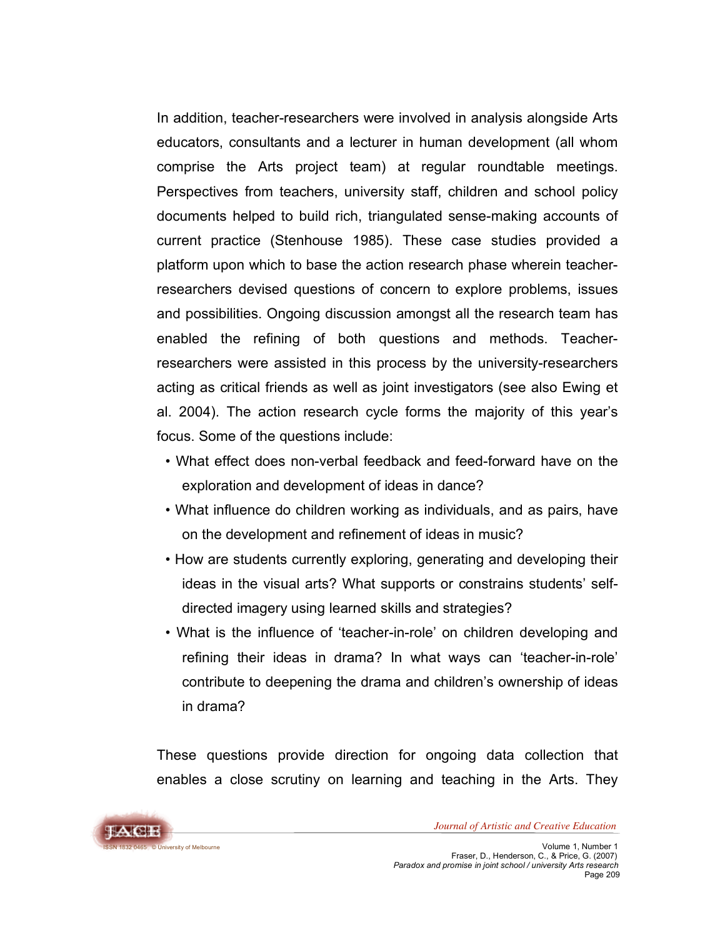In addition, teacher-researchers were involved in analysis alongside Arts educators, consultants and a lecturer in human development (all whom comprise the Arts project team) at regular roundtable meetings. Perspectives from teachers, university staff, children and school policy documents helped to build rich, triangulated sense-making accounts of current practice (Stenhouse 1985). These case studies provided a platform upon which to base the action research phase wherein teacherresearchers devised questions of concern to explore problems, issues and possibilities. Ongoing discussion amongst all the research team has enabled the refining of both questions and methods. Teacherresearchers were assisted in this process by the university-researchers acting as critical friends as well as joint investigators (see also Ewing et al. 2004). The action research cycle forms the majority of this year's focus. Some of the questions include:

- *•* What effect does non-verbal feedback and feed-forward have on the exploration and development of ideas in dance?
- *•* What influence do children working as individuals, and as pairs, have on the development and refinement of ideas in music?
- How are students currently exploring, generating and developing their ideas in the visual arts? What supports or constrains students' selfdirected imagery using learned skills and strategies?
- What is the influence of 'teacher-in-role' on children developing and refining their ideas in drama? In what ways can 'teacher-in-role' contribute to deepening the drama and children's ownership of ideas in drama?

These questions provide direction for ongoing data collection that enables a close scrutiny on learning and teaching in the Arts. They

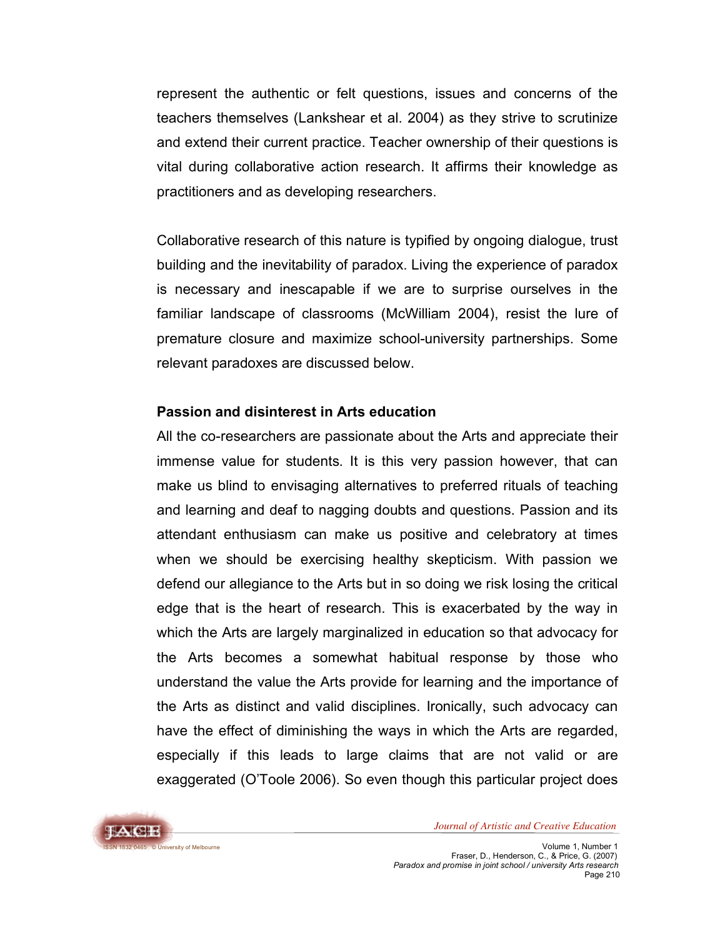represent the authentic or felt questions, issues and concerns of the teachers themselves (Lankshear et al. 2004) as they strive to scrutinize and extend their current practice. Teacher ownership of their questions is vital during collaborative action research. It affirms their knowledge as practitioners and as developing researchers.

Collaborative research of this nature is typified by ongoing dialogue, trust building and the inevitability of paradox. Living the experience of paradox is necessary and inescapable if we are to surprise ourselves in the familiar landscape of classrooms (McWilliam 2004), resist the lure of premature closure and maximize school-university partnerships. Some relevant paradoxes are discussed below.

### **Passion and disinterest in Arts education**

All the co-researchers are passionate about the Arts and appreciate their immense value for students. It is this very passion however, that can make us blind to envisaging alternatives to preferred rituals of teaching and learning and deaf to nagging doubts and questions. Passion and its attendant enthusiasm can make us positive and celebratory at times when we should be exercising healthy skepticism. With passion we defend our allegiance to the Arts but in so doing we risk losing the critical edge that is the heart of research. This is exacerbated by the way in which the Arts are largely marginalized in education so that advocacy for the Arts becomes a somewhat habitual response by those who understand the value the Arts provide for learning and the importance of the Arts as distinct and valid disciplines. Ironically, such advocacy can have the effect of diminishing the ways in which the Arts are regarded, especially if this leads to large claims that are not valid or are exaggerated (O'Toole 2006). So even though this particular project does

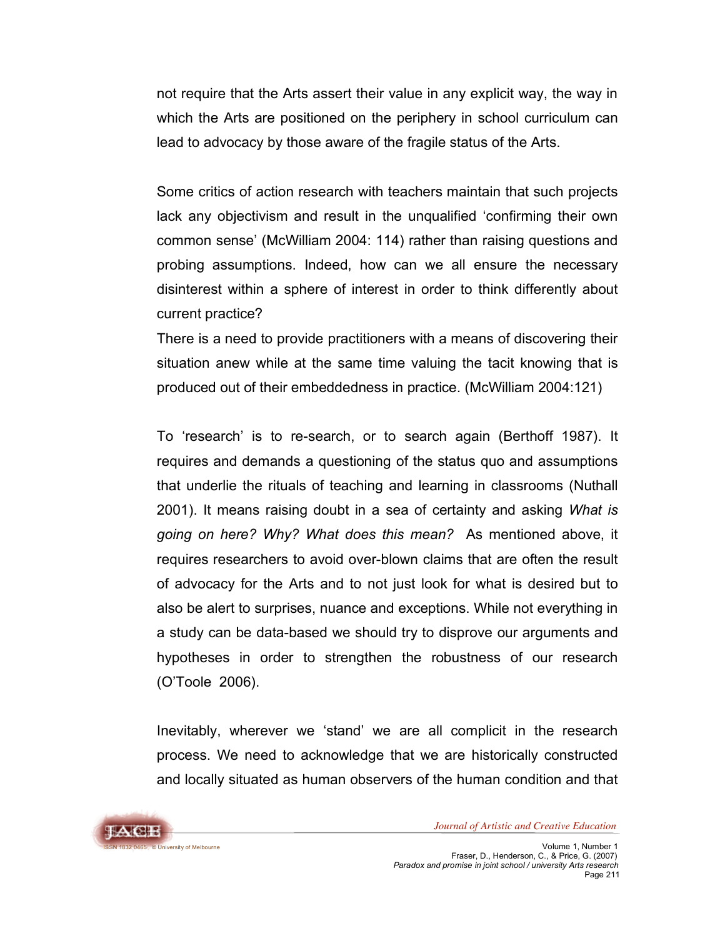not require that the Arts assert their value in any explicit way, the way in which the Arts are positioned on the periphery in school curriculum can lead to advocacy by those aware of the fragile status of the Arts.

Some critics of action research with teachers maintain that such projects lack any objectivism and result in the unqualified 'confirming their own common sense' (McWilliam 2004: 114) rather than raising questions and probing assumptions. Indeed, how can we all ensure the necessary disinterest within a sphere of interest in order to think differently about current practice?

There is a need to provide practitioners with a means of discovering their situation anew while at the same time valuing the tacit knowing that is produced out of their embeddedness in practice. (McWilliam 2004:121)

To 'research' is to re-search, or to search again (Berthoff 1987). It requires and demands a questioning of the status quo and assumptions that underlie the rituals of teaching and learning in classrooms (Nuthall 2001). It means raising doubt in a sea of certainty and asking *What is going on here? Why? What does this mean?* As mentioned above, it requires researchers to avoid over-blown claims that are often the result of advocacy for the Arts and to not just look for what is desired but to also be alert to surprises, nuance and exceptions. While not everything in a study can be data-based we should try to disprove our arguments and hypotheses in order to strengthen the robustness of our research (O'Toole 2006).

Inevitably, wherever we 'stand' we are all complicit in the research process. We need to acknowledge that we are historically constructed and locally situated as human observers of the human condition and that

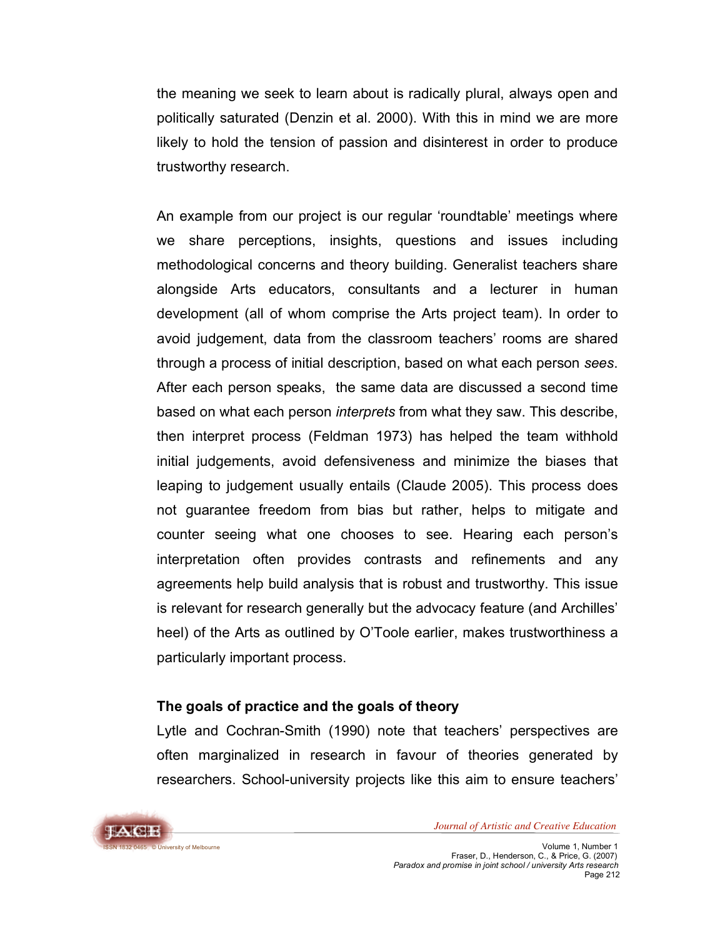the meaning we seek to learn about is radically plural, always open and politically saturated (Denzin et al. 2000). With this in mind we are more likely to hold the tension of passion and disinterest in order to produce trustworthy research.

An example from our project is our regular 'roundtable' meetings where we share perceptions, insights, questions and issues including methodological concerns and theory building. Generalist teachers share alongside Arts educators, consultants and a lecturer in human development (all of whom comprise the Arts project team). In order to avoid judgement, data from the classroom teachers' rooms are shared through a process of initial description, based on what each person *sees*. After each person speaks, the same data are discussed a second time based on what each person *interprets* from what they saw. This describe, then interpret process (Feldman 1973) has helped the team withhold initial judgements, avoid defensiveness and minimize the biases that leaping to judgement usually entails (Claude 2005). This process does not guarantee freedom from bias but rather, helps to mitigate and counter seeing what one chooses to see. Hearing each person's interpretation often provides contrasts and refinements and any agreements help build analysis that is robust and trustworthy. This issue is relevant for research generally but the advocacy feature (and Archilles' heel) of the Arts as outlined by O'Toole earlier, makes trustworthiness a particularly important process.

### **The goals of practice and the goals of theory**

Lytle and Cochran-Smith (1990) note that teachers' perspectives are often marginalized in research in favour of theories generated by researchers. School-university projects like this aim to ensure teachers'

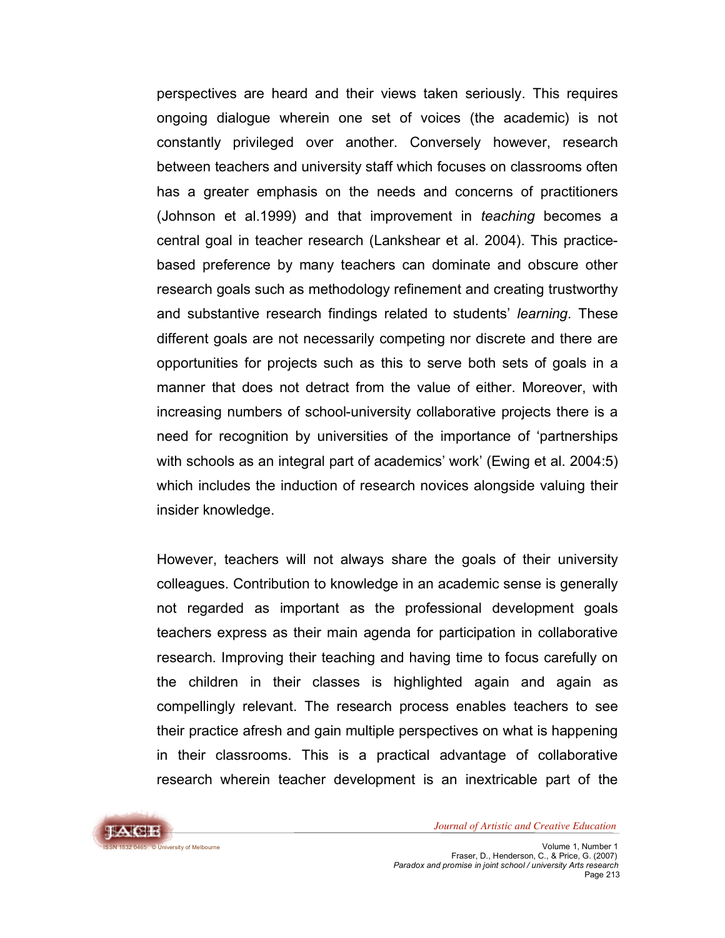perspectives are heard and their views taken seriously. This requires ongoing dialogue wherein one set of voices (the academic) is not constantly privileged over another. Conversely however, research between teachers and university staff which focuses on classrooms often has a greater emphasis on the needs and concerns of practitioners (Johnson et al.1999) and that improvement in *teaching* becomes a central goal in teacher research (Lankshear et al. 2004). This practicebased preference by many teachers can dominate and obscure other research goals such as methodology refinement and creating trustworthy and substantive research findings related to students' *learning*. These different goals are not necessarily competing nor discrete and there are opportunities for projects such as this to serve both sets of goals in a manner that does not detract from the value of either. Moreover, with increasing numbers of school-university collaborative projects there is a need for recognition by universities of the importance of 'partnerships with schools as an integral part of academics' work' (Ewing et al. 2004:5) which includes the induction of research novices alongside valuing their insider knowledge.

However, teachers will not always share the goals of their university colleagues. Contribution to knowledge in an academic sense is generally not regarded as important as the professional development goals teachers express as their main agenda for participation in collaborative research. Improving their teaching and having time to focus carefully on the children in their classes is highlighted again and again as compellingly relevant. The research process enables teachers to see their practice afresh and gain multiple perspectives on what is happening in their classrooms. This is a practical advantage of collaborative research wherein teacher development is an inextricable part of the

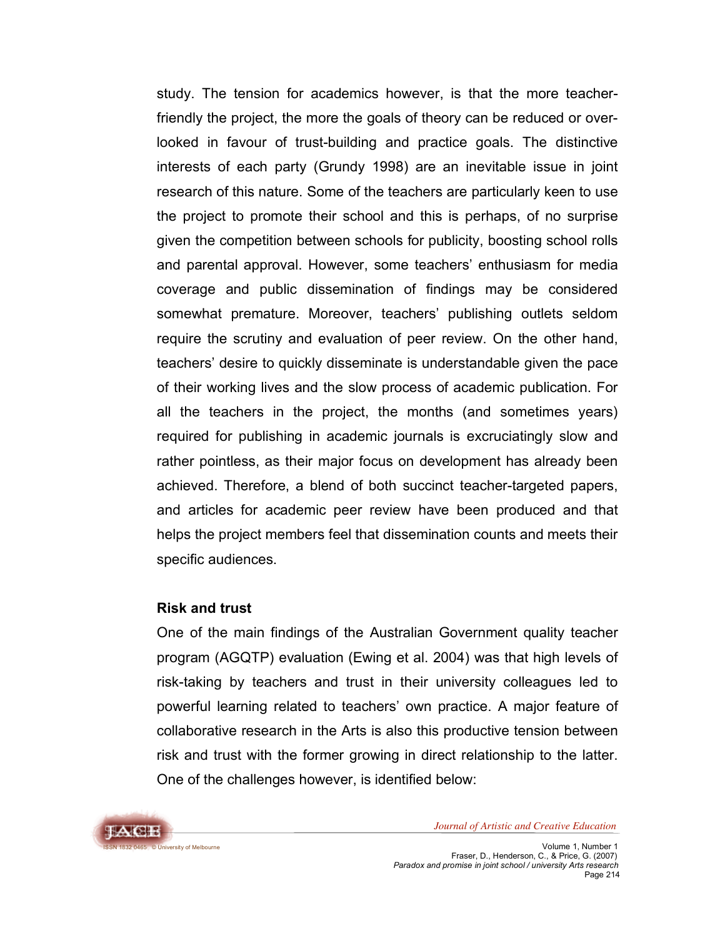study. The tension for academics however, is that the more teacherfriendly the project, the more the goals of theory can be reduced or overlooked in favour of trust-building and practice goals. The distinctive interests of each party (Grundy 1998) are an inevitable issue in joint research of this nature. Some of the teachers are particularly keen to use the project to promote their school and this is perhaps, of no surprise given the competition between schools for publicity, boosting school rolls and parental approval. However, some teachers' enthusiasm for media coverage and public dissemination of findings may be considered somewhat premature. Moreover, teachers' publishing outlets seldom require the scrutiny and evaluation of peer review. On the other hand, teachers' desire to quickly disseminate is understandable given the pace of their working lives and the slow process of academic publication. For all the teachers in the project, the months (and sometimes years) required for publishing in academic journals is excruciatingly slow and rather pointless, as their major focus on development has already been achieved. Therefore, a blend of both succinct teacher-targeted papers, and articles for academic peer review have been produced and that helps the project members feel that dissemination counts and meets their specific audiences.

#### **Risk and trust**

One of the main findings of the Australian Government quality teacher program (AGQTP) evaluation (Ewing et al. 2004) was that high levels of risk-taking by teachers and trust in their university colleagues led to powerful learning related to teachers' own practice. A major feature of collaborative research in the Arts is also this productive tension between risk and trust with the former growing in direct relationship to the latter. One of the challenges however, is identified below:

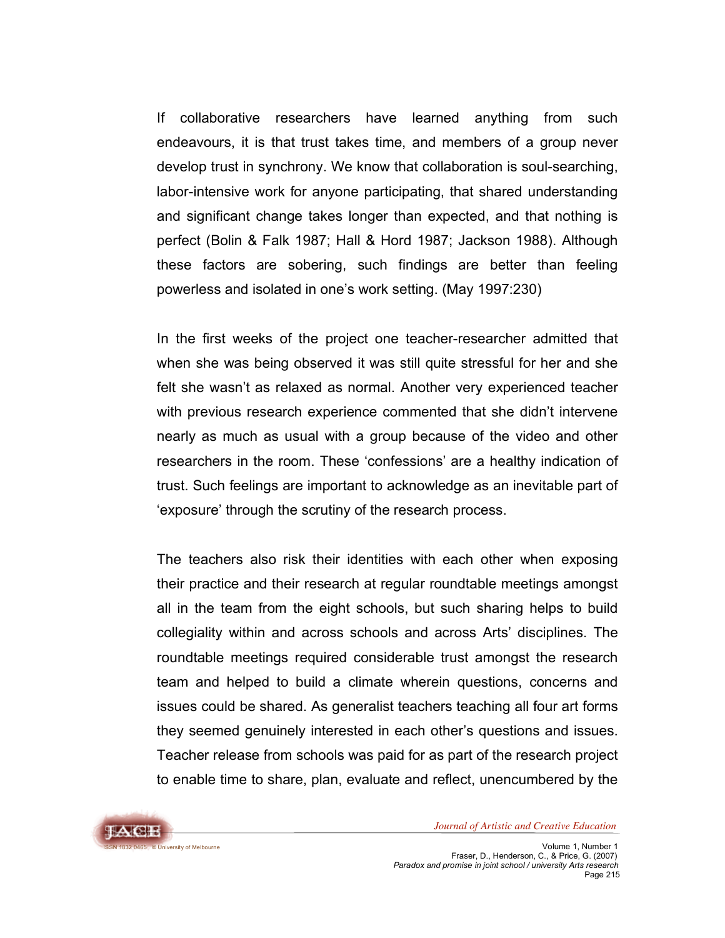If collaborative researchers have learned anything from such endeavours, it is that trust takes time, and members of a group never develop trust in synchrony. We know that collaboration is soul-searching, labor-intensive work for anyone participating, that shared understanding and significant change takes longer than expected, and that nothing is perfect (Bolin & Falk 1987; Hall & Hord 1987; Jackson 1988). Although these factors are sobering, such findings are better than feeling powerless and isolated in one's work setting. (May 1997:230)

In the first weeks of the project one teacher-researcher admitted that when she was being observed it was still quite stressful for her and she felt she wasn't as relaxed as normal. Another very experienced teacher with previous research experience commented that she didn't intervene nearly as much as usual with a group because of the video and other researchers in the room. These 'confessions' are a healthy indication of trust. Such feelings are important to acknowledge as an inevitable part of 'exposure' through the scrutiny of the research process.

The teachers also risk their identities with each other when exposing their practice and their research at regular roundtable meetings amongst all in the team from the eight schools, but such sharing helps to build collegiality within and across schools and across Arts' disciplines. The roundtable meetings required considerable trust amongst the research team and helped to build a climate wherein questions, concerns and issues could be shared. As generalist teachers teaching all four art forms they seemed genuinely interested in each other's questions and issues. Teacher release from schools was paid for as part of the research project to enable time to share, plan, evaluate and reflect, unencumbered by the

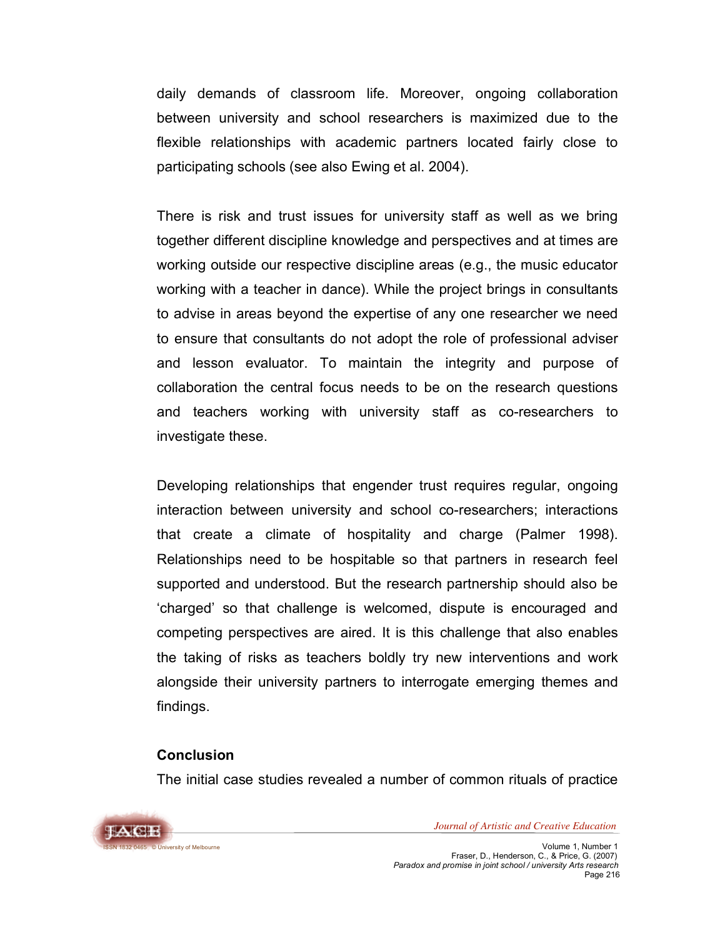daily demands of classroom life. Moreover, ongoing collaboration between university and school researchers is maximized due to the flexible relationships with academic partners located fairly close to participating schools (see also Ewing et al. 2004).

There is risk and trust issues for university staff as well as we bring together different discipline knowledge and perspectives and at times are working outside our respective discipline areas (e.g., the music educator working with a teacher in dance). While the project brings in consultants to advise in areas beyond the expertise of any one researcher we need to ensure that consultants do not adopt the role of professional adviser and lesson evaluator. To maintain the integrity and purpose of collaboration the central focus needs to be on the research questions and teachers working with university staff as co-researchers to investigate these.

Developing relationships that engender trust requires regular, ongoing interaction between university and school co-researchers; interactions that create a climate of hospitality and charge (Palmer 1998). Relationships need to be hospitable so that partners in research feel supported and understood. But the research partnership should also be 'charged' so that challenge is welcomed, dispute is encouraged and competing perspectives are aired. It is this challenge that also enables the taking of risks as teachers boldly try new interventions and work alongside their university partners to interrogate emerging themes and findings.

# **Conclusion**

The initial case studies revealed a number of common rituals of practice

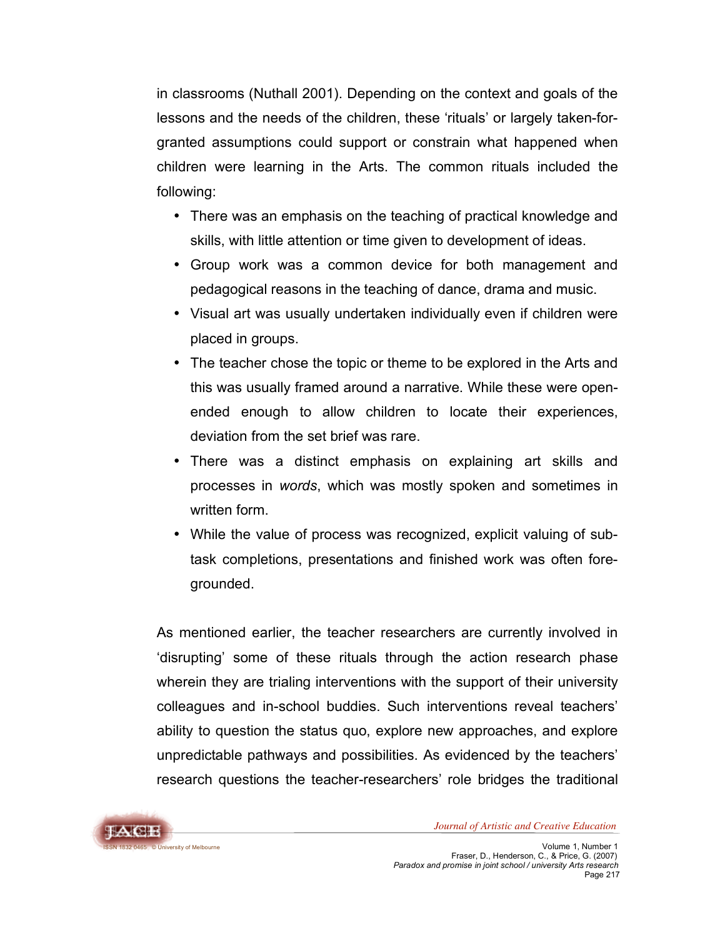in classrooms (Nuthall 2001). Depending on the context and goals of the lessons and the needs of the children, these 'rituals' or largely taken-forgranted assumptions could support or constrain what happened when children were learning in the Arts. The common rituals included the following:

- There was an emphasis on the teaching of practical knowledge and skills, with little attention or time given to development of ideas.
- Group work was a common device for both management and pedagogical reasons in the teaching of dance, drama and music.
- Visual art was usually undertaken individually even if children were placed in groups.
- The teacher chose the topic or theme to be explored in the Arts and this was usually framed around a narrative. While these were openended enough to allow children to locate their experiences, deviation from the set brief was rare.
- There was a distinct emphasis on explaining art skills and processes in *words*, which was mostly spoken and sometimes in written form.
- While the value of process was recognized, explicit valuing of subtask completions, presentations and finished work was often foregrounded.

As mentioned earlier, the teacher researchers are currently involved in 'disrupting' some of these rituals through the action research phase wherein they are trialing interventions with the support of their university colleagues and in-school buddies. Such interventions reveal teachers' ability to question the status quo, explore new approaches, and explore unpredictable pathways and possibilities. As evidenced by the teachers' research questions the teacher-researchers' role bridges the traditional

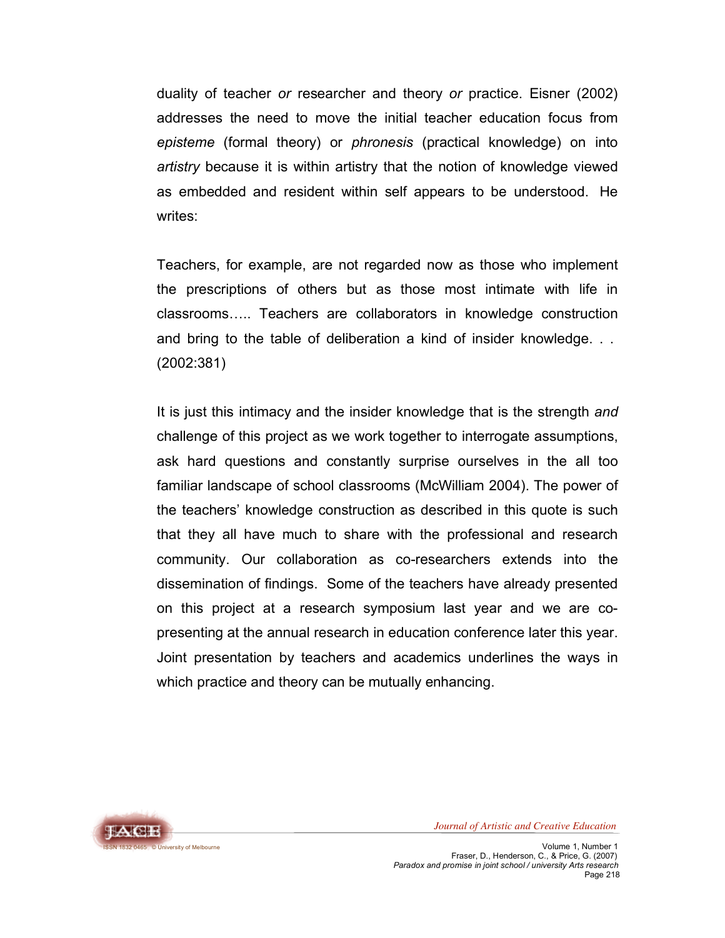duality of teacher *or* researcher and theory *or* practice. Eisner (2002) addresses the need to move the initial teacher education focus from *episteme* (formal theory) or *phronesis* (practical knowledge) on into *artistry* because it is within artistry that the notion of knowledge viewed as embedded and resident within self appears to be understood. He writes:

Teachers, for example, are not regarded now as those who implement the prescriptions of others but as those most intimate with life in classrooms….. Teachers are collaborators in knowledge construction and bring to the table of deliberation a kind of insider knowledge. . . (2002:381)

It is just this intimacy and the insider knowledge that is the strength *and* challenge of this project as we work together to interrogate assumptions, ask hard questions and constantly surprise ourselves in the all too familiar landscape of school classrooms (McWilliam 2004). The power of the teachers' knowledge construction as described in this quote is such that they all have much to share with the professional and research community. Our collaboration as co-researchers extends into the dissemination of findings. Some of the teachers have already presented on this project at a research symposium last year and we are copresenting at the annual research in education conference later this year. Joint presentation by teachers and academics underlines the ways in which practice and theory can be mutually enhancing.

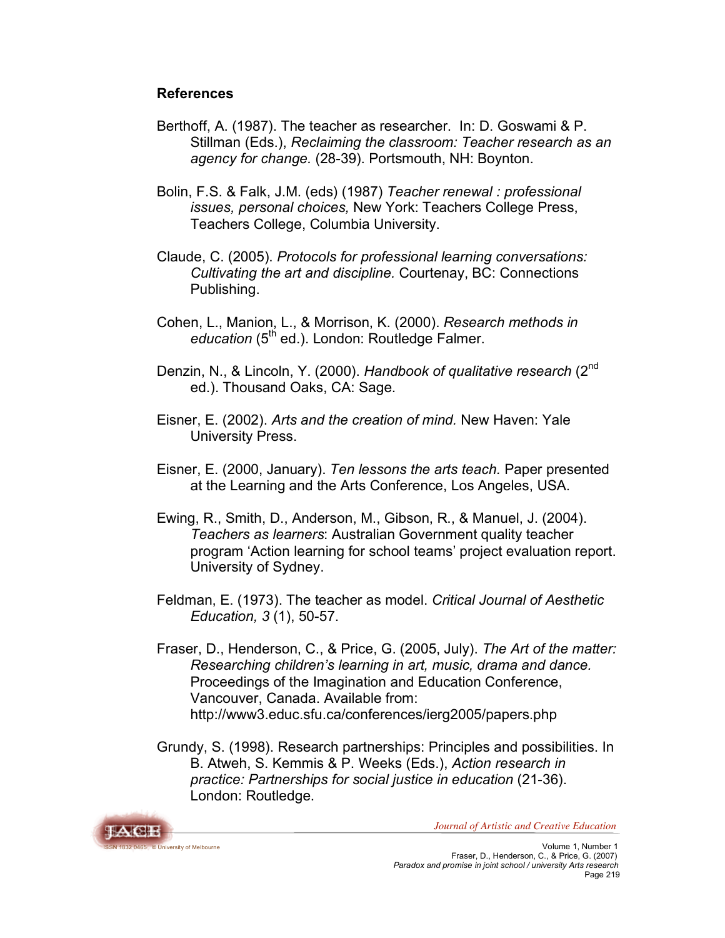## **References**

- Berthoff, A. (1987). The teacher as researcher. In: D. Goswami & P. Stillman (Eds.), *Reclaiming the classroom: Teacher research as an agency for change.* (28-39). Portsmouth, NH: Boynton.
- Bolin, F.S. & Falk, J.M. (eds) (1987) *Teacher renewal : professional issues, personal choices,* New York: Teachers College Press, Teachers College, Columbia University.
- Claude, C. (2005). *Protocols for professional learning conversations: Cultivating the art and discipline.* Courtenay, BC: Connections Publishing.
- Cohen, L., Manion, L., & Morrison, K. (2000). *Research methods in* education (5<sup>th</sup> ed.). London: Routledge Falmer.
- Denzin, N., & Lincoln, Y. (2000). *Handbook of qualitative research* (2nd ed.). Thousand Oaks, CA: Sage.
- Eisner, E. (2002). *Arts and the creation of mind.* New Haven: Yale University Press.
- Eisner, E. (2000, January). *Ten lessons the arts teach.* Paper presented at the Learning and the Arts Conference, Los Angeles, USA.
- Ewing, R., Smith, D., Anderson, M., Gibson, R., & Manuel, J. (2004). *Teachers as learners*: Australian Government quality teacher program 'Action learning for school teams' project evaluation report. University of Sydney.
- Feldman, E. (1973). The teacher as model. *Critical Journal of Aesthetic Education, 3* (1), 50-57.
- Fraser, D., Henderson, C., & Price, G. (2005, July). *The Art of the matter: Researching children's learning in art, music, drama and dance.* Proceedings of the Imagination and Education Conference, Vancouver, Canada. Available from: http://www3.educ.sfu.ca/conferences/ierg2005/papers.php
- Grundy, S. (1998). Research partnerships: Principles and possibilities. In B. Atweh, S. Kemmis & P. Weeks (Eds.), *Action research in practice: Partnerships for social justice in education* (21-36). London: Routledge.

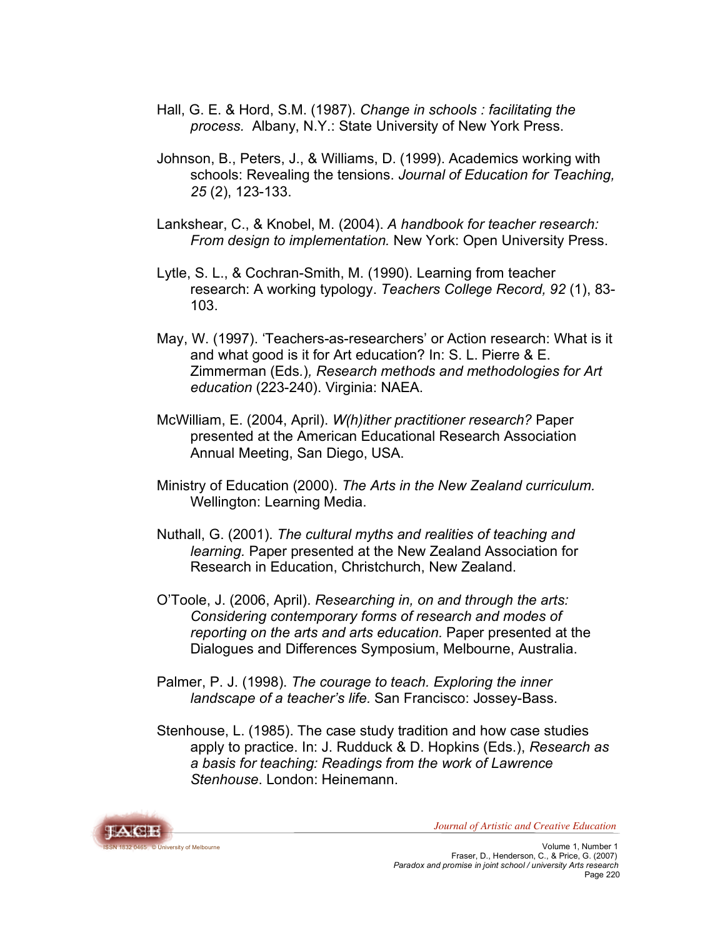- Hall, G. E. & Hord, S.M. (1987). *Change in schools : facilitating the process.* Albany, N.Y.: State University of New York Press.
- Johnson, B., Peters, J., & Williams, D. (1999). Academics working with schools: Revealing the tensions. *Journal of Education for Teaching, 25* (2), 123-133.
- Lankshear, C., & Knobel, M. (2004). *A handbook for teacher research: From design to implementation.* New York: Open University Press.
- Lytle, S. L., & Cochran-Smith, M. (1990). Learning from teacher research: A working typology. *Teachers College Record, 92* (1), 83- 103.
- May, W. (1997). 'Teachers-as-researchers' or Action research: What is it and what good is it for Art education? In: S. L. Pierre & E. Zimmerman (Eds*.*)*, Research methods and methodologies for Art education* (223-240). Virginia: NAEA.
- McWilliam, E. (2004, April). *W(h)ither practitioner research?* Paper presented at the American Educational Research Association Annual Meeting, San Diego, USA.
- Ministry of Education (2000). *The Arts in the New Zealand curriculum.* Wellington: Learning Media.
- Nuthall, G. (2001). *The cultural myths and realities of teaching and learning.* Paper presented at the New Zealand Association for Research in Education, Christchurch, New Zealand.
- O'Toole, J. (2006, April). *Researching in, on and through the arts: Considering contemporary forms of research and modes of reporting on the arts and arts education.* Paper presented at the Dialogues and Differences Symposium, Melbourne, Australia.
- Palmer, P. J. (1998). *The courage to teach. Exploring the inner landscape of a teacher's life.* San Francisco: Jossey-Bass.
- Stenhouse, L. (1985). The case study tradition and how case studies apply to practice. In: J. Rudduck & D. Hopkins (Eds.), *Research as a basis for teaching: Readings from the work of Lawrence Stenhouse*. London: Heinemann.